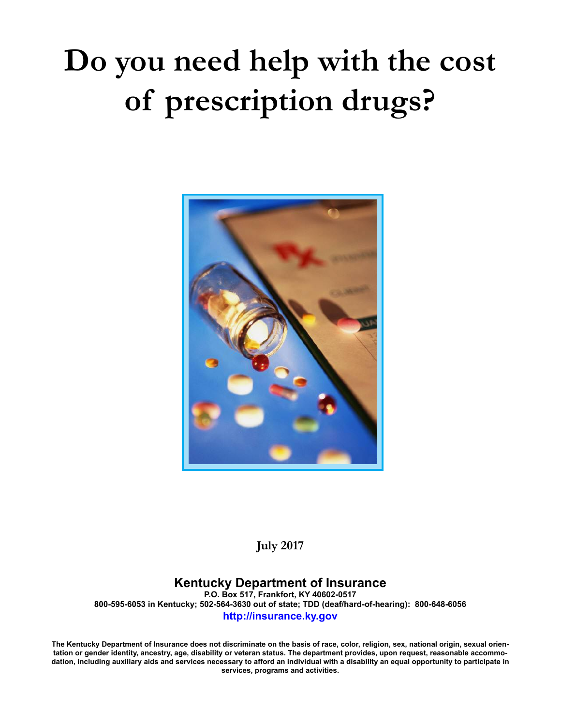# **Do you need help with the cost of prescription drugs?**



**July 2017**

# **Kentucky Department of Insurance**

**P.O. Box 517, Frankfort, KY 40602-0517 800-595-6053 in Kentucky; 502-564-3630 out of state; TDD (deaf/hard-of-hearing): 800-648-6056 http://insurance.ky.gov**

**The Kentucky Department of Insurance does not discriminate on the basis of race, color, religion, sex, national origin, sexual orientation or gender identity, ancestry, age, disability or veteran status. The department provides, upon request, reasonable accommodation, including auxiliary aids and services necessary to afford an individual with a disability an equal opportunity to participate in services, programs and activities.**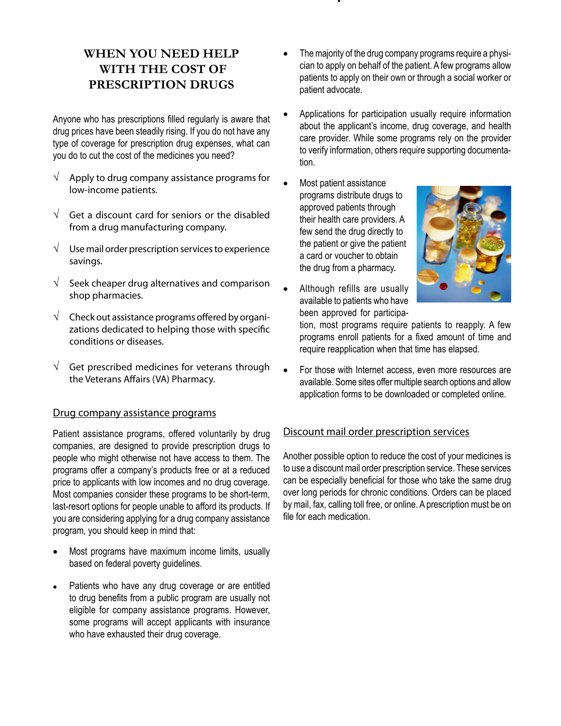# **WHEN YOU NEED HELP WITH THE COST OF PRESCRIPTION DRUGS**

Anyone who has prescriptions filled regularly is aware that drug prices have been steadily rising. If you do not have any type of coverage for prescription drug expenses, what can you do to cut the cost of the medicines you need?

- $\sqrt{\phantom{a}}$  Apply to drug company assistance programs for low-income patients.
- $\sqrt{\phantom{a}}$  Get a discount card for seniors or the disabled from a drug manufacturing company.
- $\sqrt{\phantom{a}}$  Use mail order prescription services to experience savings.
- $\sqrt{\phantom{a}}$  Seek cheaper drug alternatives and comparison shop pharmacies.
- $\sqrt{\phantom{a}}$  Check out assistance programs offered by organizations dedicated to helping those with specific conditions or diseases.
- $\sqrt{\phantom{a}}$  Get prescribed medicines for veterans through the Veterans Affairs (VA) Pharmacy.

## Drug company assistance programs

Patient assistance programs, offered voluntarily by drug companies, are designed to provide prescription drugs to people who might otherwise not have access to them. The programs offer a company's products free or at a reduced price to applicants with low incomes and no drug coverage. Most companies consider these programs to be short-term, last-resort options for people unable to afford its products. If you are considering applying for a drug company assistance program, you should keep in mind that:

- Most programs have maximum income limits, usually based on federal poverty guidelines.
- Patients who have any drug coverage or are entitled to drug benefits from a public program are usually not eligible for company assistance programs. However, some programs will accept applicants with insurance who have exhausted their drug coverage.
- The majority of the drug company programs require a physician to apply on behalf of the patient. A few programs allow patients to apply on their own or through a social worker or patient advocate.
- Applications for participation usually require information about the applicant's income, drug coverage, and health care provider. While some programs rely on the provider to verify information, others require supporting documentation.
- Most patient assistance programs distribute drugs to approved patients through their health care providers. A few send the drug directly to the patient or give the patient a card or voucher to obtain the drug from a pharmacy.
- Although refills are usually available to patients who have been approved for participa-



tion, most programs require patients to reapply. A few programs enroll patients for a fixed amount of time and require reapplication when that time has elapsed.

For those with Internet access, even more resources are available. Some sites offer multiple search options and allow application forms to be downloaded or completed online.

## Discount mail order prescription services

Another possible option to reduce the cost of your medicines is to use a discount mail order prescription service. These services can be especially beneficial for those who take the same drug over long periods for chronic conditions. Orders can be placed by mail, fax, calling toll free, or online. A prescription must be on file for each medication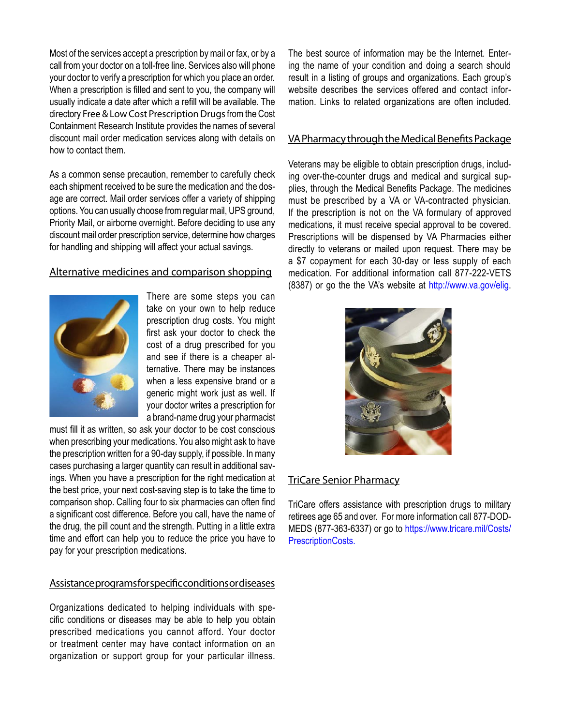Most of the services accept a prescription by mail or fax, or by a call from your doctor on a toll-free line. Services also will phone your doctor to verify a prescription for which you place an order. When a prescription is filled and sent to you, the company will usually indicate a date after which a refill will be available. The directory Free & Low Cost Prescription Drugs from the Cost Containment Research Institute provides the names of several discount mail order medication services along with details on how to contact them.

As a common sense precaution, remember to carefully check each shipment received to be sure the medication and the dosage are correct. Mail order services offer a variety of shipping options. You can usually choose from regular mail, UPS ground, Priority Mail, or airborne overnight. Before deciding to use any discount mail order prescription service, determine how charges for handling and shipping will affect your actual savings.

# Alternative medicines and comparison shopping



There are some steps you can take on your own to help reduce prescription drug costs. You might first ask your doctor to check the cost of a drug prescribed for you and see if there is a cheaper alternative. There may be instances when a less expensive brand or a generic might work just as well. If your doctor writes a prescription for a brand-name drug your pharmacist

must fill it as written, so ask your doctor to be cost conscious when prescribing your medications. You also might ask to have the prescription written for a 90-day supply, if possible. In many cases purchasing a larger quantity can result in additional savings. When you have a prescription for the right medication at the best price, your next cost-saving step is to take the time to comparison shop. Calling four to six pharmacies can often find a significant cost difference. Before you call, have the name of the drug, the pill count and the strength. Putting in a little extra time and effort can help you to reduce the price you have to pay for your prescription medications.

# Assistance programs for specific conditions or diseases

Organizations dedicated to helping individuals with specific conditions or diseases may be able to help you obtain prescribed medications you cannot afford. Your doctor or treatment center may have contact information on an organization or support group for your particular illness. The best source of information may be the Internet. Entering the name of your condition and doing a search should result in a listing of groups and organizations. Each group's website describes the services offered and contact information. Links to related organizations are often included.

# VA Pharmacy through the Medical Benefits Package

Veterans may be eligible to obtain prescription drugs, including over-the-counter drugs and medical and surgical supplies, through the Medical Benefits Package. The medicines must be prescribed by a VA or VA-contracted physician. If the prescription is not on the VA formulary of approved medications, it must receive special approval to be covered. Prescriptions will be dispensed by VA Pharmacies either directly to veterans or mailed upon request. There may be a \$7 copayment for each 30-day or less supply of each medication. For additional information call 877-222-VETS (8387) or go the the VA's website at http://www.va.gov/elig.



# TriCare Senior Pharmacy

TriCare offers assistance with prescription drugs to military retirees age 65 and over. For more information call 877-DOD-MEDS (877-363-6337) or go to https://www.tricare.mil/Costs/ PrescriptionCosts.